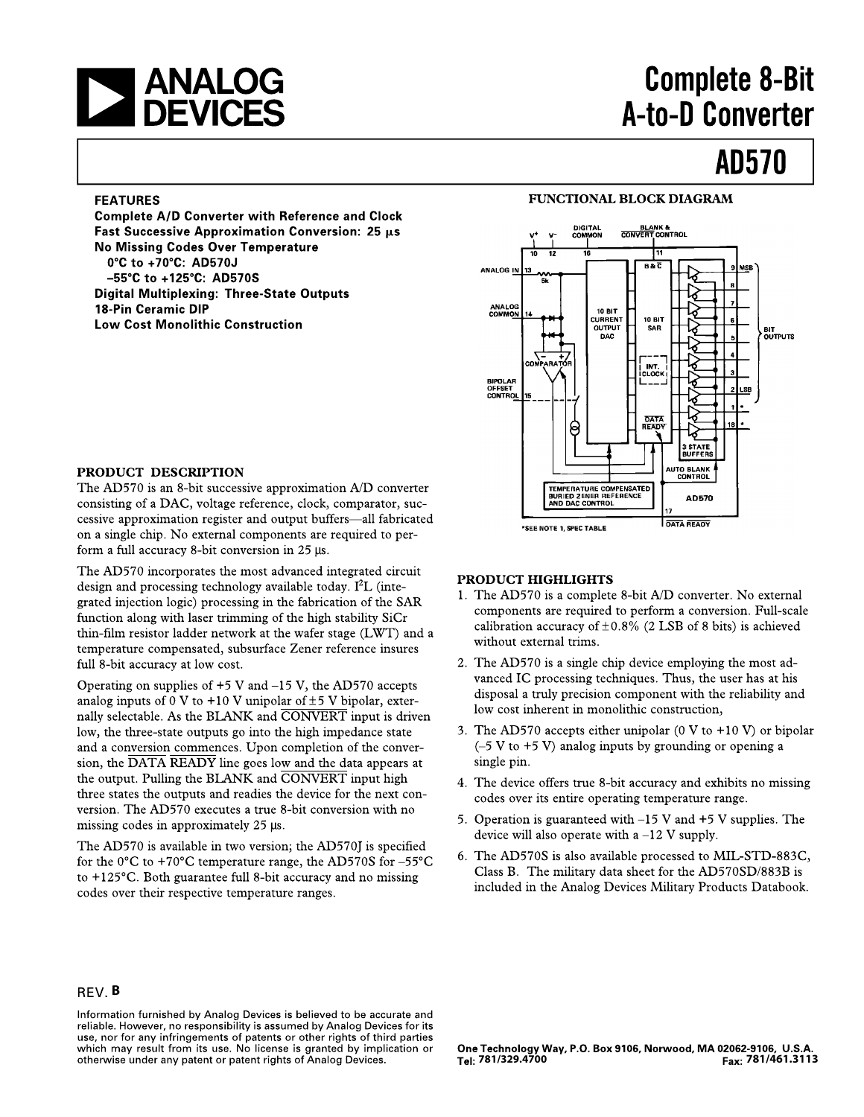# **EXAMALOG<br>DEVICES**

# **Complete 8-Bit** A-to-D Converter

## **AD570**

### **FEATURES**

**Complete A/D Converter with Reference and Clock** Fast Successive Approximation Conversion: 25 µs **No Missing Codes Over Temperature** 0°C to +70°C: AD570J -55°C to +125°C: AD570S **Digital Multiplexing: Three-State Outputs** 18-Pin Ceramic DIP **Low Cost Monolithic Construction** 





### PRODUCT DESCRIPTION

The AD570 is an 8-bit successive approximation A/D converter consisting of a DAC, voltage reference, clock, comparator, successive approximation register and output buffers-all fabricated on a single chip. No external components are required to perform a full accuracy 8-bit conversion in 25 µs.

The AD570 incorporates the most advanced integrated circuit design and processing technology available today.  $I<sup>2</sup>L$  (integrated injection logic) processing in the fabrication of the SAR function along with laser trimming of the high stability SiCr thin-film resistor ladder network at the wafer stage (LWT) and a temperature compensated, subsurface Zener reference insures full 8-bit accuracy at low cost.

Operating on supplies of  $+5$  V and  $-15$  V, the AD570 accepts analog inputs of 0 V to +10 V unipolar of  $\pm$ 5 V bipolar, externally selectable. As the BLANK and CONVERT input is driven low, the three-state outputs go into the high impedance state and a conversion commences. Upon completion of the conversion, the DATA READY line goes low and the data appears at the output. Pulling the BLANK and CONVERT input high three states the outputs and readies the device for the next conversion. The AD570 executes a true 8-bit conversion with no missing codes in approximately 25 µs.

The AD570 is available in two version; the AD570J is specified for the 0°C to +70°C temperature range, the AD570S for -55°C to +125°C. Both guarantee full 8-bit accuracy and no missing codes over their respective temperature ranges.

### **PRODUCT HIGHLIGHTS**

- 1. The AD570 is a complete 8-bit A/D converter. No external components are required to perform a conversion. Full-scale calibration accuracy of  $\pm 0.8\%$  (2 LSB of 8 bits) is achieved without external trims.
- 2. The AD570 is a single chip device employing the most advanced IC processing techniques. Thus, the user has at his disposal a truly precision component with the reliability and low cost inherent in monolithic construction,
- 3. The AD570 accepts either unipolar (0 V to +10 V) or bipolar  $(-5 V to +5 V)$  analog inputs by grounding or opening a single pin.
- 4. The device offers true 8-bit accuracy and exhibits no missing codes over its entire operating temperature range.
- 5. Operation is guaranteed with  $-15$  V and  $+5$  V supplies. The device will also operate with  $a -12$  V supply.
- 6. The AD570S is also available processed to MIL-STD-883C, Class B. The military data sheet for the AD570SD/883B is included in the Analog Devices Military Products Databook.

#### **B**

Information furnished by Analog Devices is believed to be accurate and reliable. However, no responsibility is assumed by Analog Devices for its use, nor for any infringements of patents or other rights of third parties which may result from its use. No license is granted by implication or otherwise under any patent or patent rights of Analog Devices.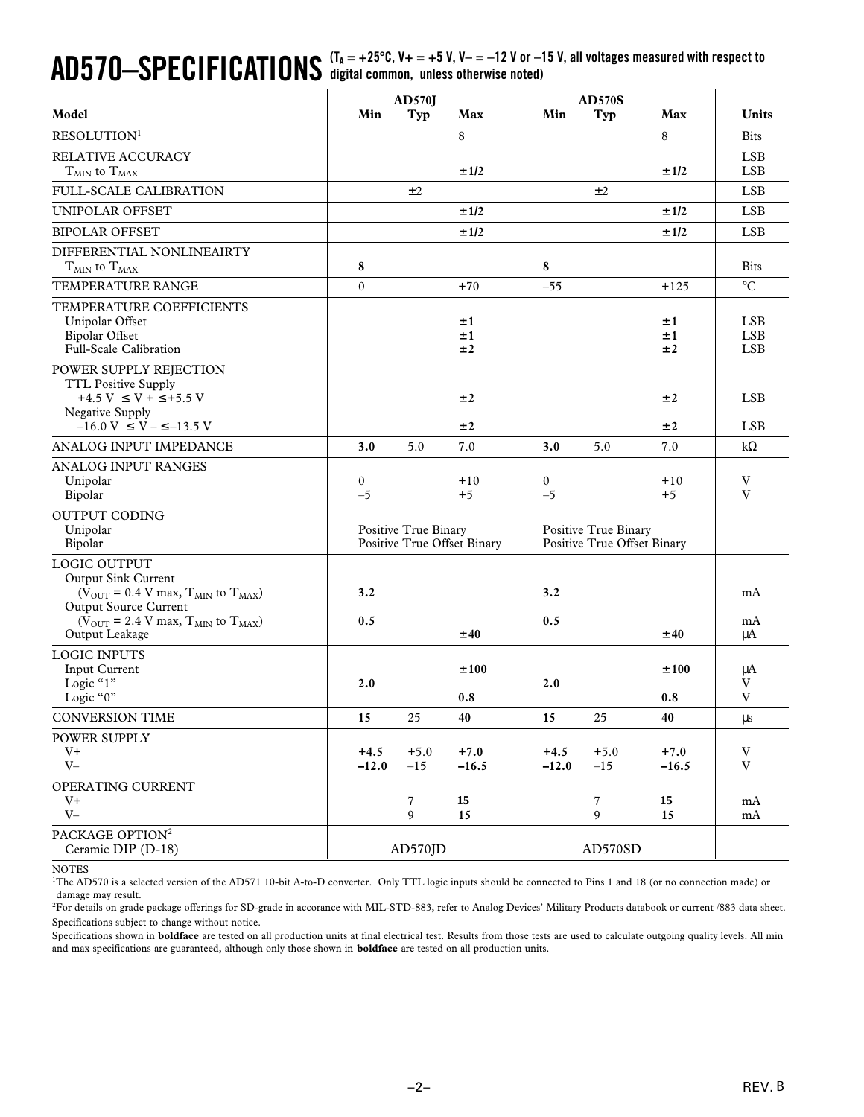# $\mathbf{A}\mathbf{D570}\text{---}\mathbf{S}\mathbf{PECIFICATIONS}$  (T<sub>A</sub> = +25°C, V+ = +5 V, V- = -12 V or –15 V, all voltages measured with respect to

|                                                                                                                                                                                                                                           |                      | <b>AD570J</b>        |                             |                   | <b>AD570S</b>                                       |                   |                                  |
|-------------------------------------------------------------------------------------------------------------------------------------------------------------------------------------------------------------------------------------------|----------------------|----------------------|-----------------------------|-------------------|-----------------------------------------------------|-------------------|----------------------------------|
| Model                                                                                                                                                                                                                                     | Min                  | Typ                  | Max                         | Min               | Typ                                                 | Max               | <b>Units</b>                     |
| RESOLUTION <sup>1</sup>                                                                                                                                                                                                                   |                      |                      | 8                           |                   |                                                     | 8                 | <b>Bits</b>                      |
| RELATIVE ACCURACY<br>$T_{MIN}$ to $T_{MAX}$                                                                                                                                                                                               |                      |                      | ±1/2                        |                   |                                                     | ±1/2              | <b>LSB</b><br><b>LSB</b>         |
| FULL-SCALE CALIBRATION                                                                                                                                                                                                                    |                      | ±2                   |                             |                   | ±2                                                  |                   | <b>LSB</b>                       |
| UNIPOLAR OFFSET                                                                                                                                                                                                                           |                      |                      | ±1/2                        |                   |                                                     | ±1/2              | <b>LSB</b>                       |
| <b>BIPOLAR OFFSET</b>                                                                                                                                                                                                                     |                      |                      | ±1/2                        |                   |                                                     | ±1/2              | <b>LSB</b>                       |
| DIFFERENTIAL NONLINEAIRTY<br>$T_{MIN}$ to $T_{MAX}$                                                                                                                                                                                       | 8                    |                      |                             | 8                 |                                                     |                   | <b>Bits</b>                      |
| <b>TEMPERATURE RANGE</b>                                                                                                                                                                                                                  | $\theta$             |                      | $+70$                       | $-55$             |                                                     | $+125$            | $\rm ^{\circ}C$                  |
| TEMPERATURE COEFFICIENTS<br>Unipolar Offset<br><b>Bipolar Offset</b><br>Full-Scale Calibration                                                                                                                                            |                      |                      | ±1<br>±1<br>±2              |                   |                                                     | ±1<br>±1<br>±2    | LSB.<br><b>LSB</b><br><b>LSB</b> |
| POWER SUPPLY REJECTION<br><b>TTL Positive Supply</b><br>+4.5 V $\leq$ V + $\leq$ +5.5 V<br>Negative Supply<br>$-16.0$ V $\leq$ V $ \leq$ $-13.5$ V                                                                                        |                      |                      | ±2<br>±2                    |                   |                                                     | ±2<br>±2          | <b>LSB</b><br><b>LSB</b>         |
| ANALOG INPUT IMPEDANCE                                                                                                                                                                                                                    | 3.0                  | 5.0                  | 7.0                         | 3.0               | 5.0                                                 | 7.0               | $k\Omega$                        |
| <b>ANALOG INPUT RANGES</b><br>Unipolar<br>Bipolar                                                                                                                                                                                         | $\mathbf{0}$<br>$-5$ |                      | $+10$<br>$+5$               | 0<br>$-5$         |                                                     | $+10$<br>$+5$     | V<br>V                           |
| <b>OUTPUT CODING</b><br>Unipolar<br>Bipolar                                                                                                                                                                                               |                      | Positive True Binary | Positive True Offset Binary |                   | Positive True Binary<br>Positive True Offset Binary |                   |                                  |
| LOGIC OUTPUT<br>Output Sink Current<br>( $V_{\text{OUT}}$ = 0.4 V max, $T_{\text{MIN}}$ to $T_{\text{MAX}}$ )<br><b>Output Source Current</b><br>( $V_{\text{OUT}}$ = 2.4 V max, $T_{\text{MIN}}$ to $T_{\text{MAX}}$ )<br>Output Leakage | 3.2<br>0.5           |                      | ±40                         | 3.2<br>0.5        |                                                     | ±40               | mA<br>mA<br>μA                   |
| <b>LOGIC INPUTS</b><br>Input Current<br>Logic "1"<br>Logic "0"                                                                                                                                                                            | 2.0                  |                      | ±100<br>0.8                 | 2.0               |                                                     | ±100<br>0.8       | μA<br>V<br>$\mathbf V$           |
| <b>CONVERSION TIME</b>                                                                                                                                                                                                                    | 15                   | 25                   | 40                          | 15                | 25                                                  | 40                | μs                               |
| POWER SUPPLY<br>$V^+$<br>$V -$                                                                                                                                                                                                            | $+4.5$<br>$-12.0$    | $+5.0$<br>$-15$      | $+7.0$<br>$-16.5$           | $+4.5$<br>$-12.0$ | $+5.0$<br>$-15$                                     | $+7.0$<br>$-16.5$ | V<br>$\ensuremath{\mathbf{V}}$   |
| OPERATING CURRENT<br>$V^+$<br>$V -$                                                                                                                                                                                                       |                      | $\overline{7}$<br>9  | 15<br>15                    |                   | 7<br>9                                              | 15<br>15          | mA<br>mA                         |
| PACKAGE OPTION <sup>2</sup><br>Ceramic DIP (D-18)                                                                                                                                                                                         |                      | AD570JD              |                             |                   | AD570SD                                             |                   |                                  |

NOTES

<sup>1</sup>The AD570 is a selected version of the AD571 10-bit A-to-D converter. Only TTL logic inputs should be connected to Pins 1 and 18 (or no connection made) or damage may result.

2 For details on grade package offerings for SD-grade in accorance with MIL-STD-883, refer to Analog Devices' Military Products databook or current /883 data sheet. Specifications subject to change without notice.

Specifications shown in **boldface** are tested on all production units at final electrical test. Results from those tests are used to calculate outgoing quality levels. All min and max specifications are guaranteed, although only those shown in **boldface** are tested on all production units.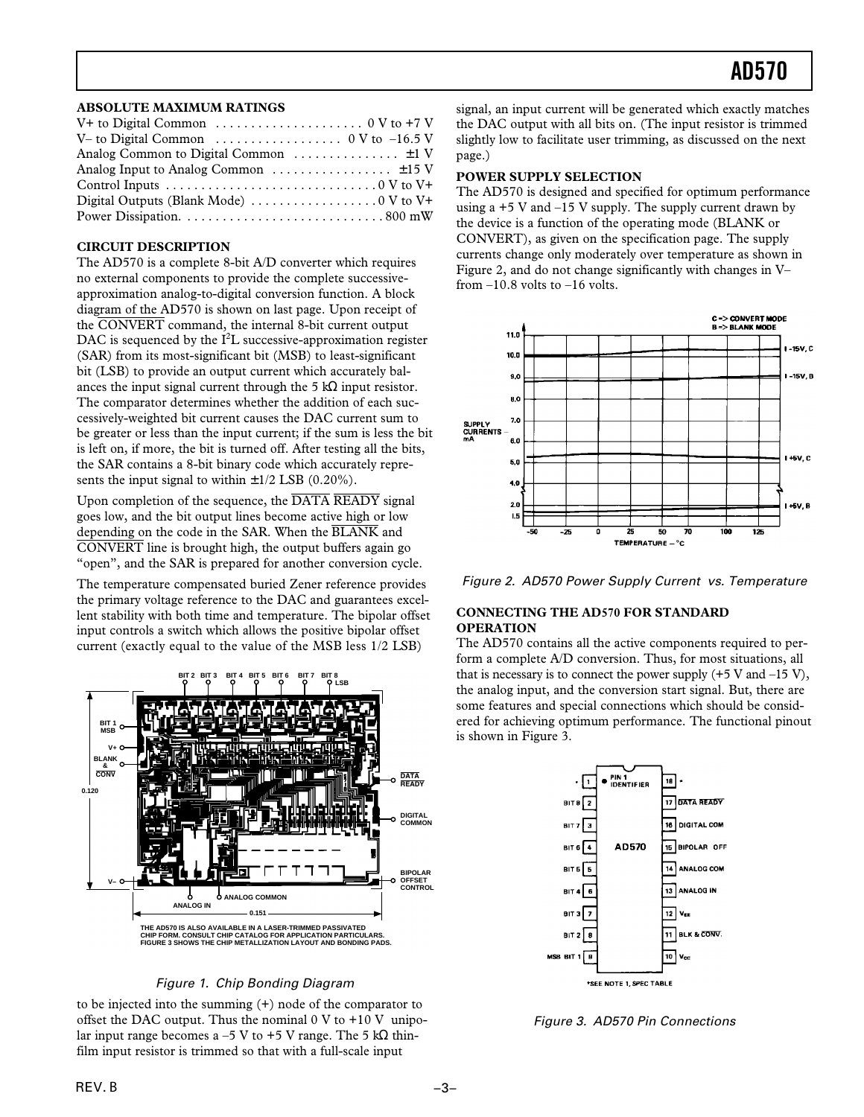### **ABSOLUTE MAXIMUM RATINGS**

| V+ to Digital Common $\dots \dots \dots \dots \dots \dots \dots \dots \dots$ 0 V to +7 V      |
|-----------------------------------------------------------------------------------------------|
| V– to Digital Common $\ldots \ldots \ldots \ldots \ldots \ldots \ldots \ldots$ 0 V to -16.5 V |
| Analog Common to Digital Common $\dots \dots \dots \dots \pm 1$ V                             |
|                                                                                               |
|                                                                                               |
|                                                                                               |
|                                                                                               |

### **CIRCUIT DESCRIPTION**

The AD570 is a complete 8-bit A/D converter which requires no external components to provide the complete successiveapproximation analog-to-digital conversion function. A block diagram of the AD570 is shown on last page. Upon receipt of the CONVERT command, the internal 8-bit current output DAC is sequenced by the  $I^2L$  successive-approximation register (SAR) from its most-significant bit (MSB) to least-significant bit (LSB) to provide an output current which accurately balances the input signal current through the 5 kΩ input resistor. The comparator determines whether the addition of each successively-weighted bit current causes the DAC current sum to be greater or less than the input current; if the sum is less the bit is left on, if more, the bit is turned off. After testing all the bits, the SAR contains a 8-bit binary code which accurately represents the input signal to within  $\pm 1/2$  LSB (0.20%).

Upon completion of the sequence, the  $\overline{\text{DATA}}$   $\overline{\text{READY}}$  signal goes low, and the bit output lines become active high or low depending on the code in the SAR. When the BLANK and CONVERT line is brought high, the output buffers again go "open", and the SAR is prepared for another conversion cycle.

The temperature compensated buried Zener reference provides the primary voltage reference to the DAC and guarantees excellent stability with both time and temperature. The bipolar offset input controls a switch which allows the positive bipolar offset current (exactly equal to the value of the MSB less 1/2 LSB)



### Figure 1. Chip Bonding Diagram

to be injected into the summing (+) node of the comparator to offset the DAC output. Thus the nominal  $0 \text{ V}$  to  $+10 \text{ V}$  unipolar input range becomes a –5 V to +5 V range. The 5 k $\Omega$  thinfilm input resistor is trimmed so that with a full-scale input

signal, an input current will be generated which exactly matches the DAC output with all bits on. (The input resistor is trimmed slightly low to facilitate user trimming, as discussed on the next page.)

### **POWER SUPPLY SELECTION**

The AD570 is designed and specified for optimum performance using a  $+5$  V and  $-15$  V supply. The supply current drawn by the device is a function of the operating mode (BLANK or CONVERT), as given on the specification page. The supply currents change only moderately over temperature as shown in Figure 2, and do not change significantly with changes in V– from  $-10.8$  volts to  $-16$  volts.





### **CONNECTING THE AD570 FOR STANDARD OPERATION**

The AD570 contains all the active components required to perform a complete A/D conversion. Thus, for most situations, all that is necessary is to connect the power supply  $(+5 \text{ V and } -15 \text{ V})$ , the analog input, and the conversion start signal. But, there are some features and special connections which should be considered for achieving optimum performance. The functional pinout is shown in Figure 3.



Figure 3. AD570 Pin Connections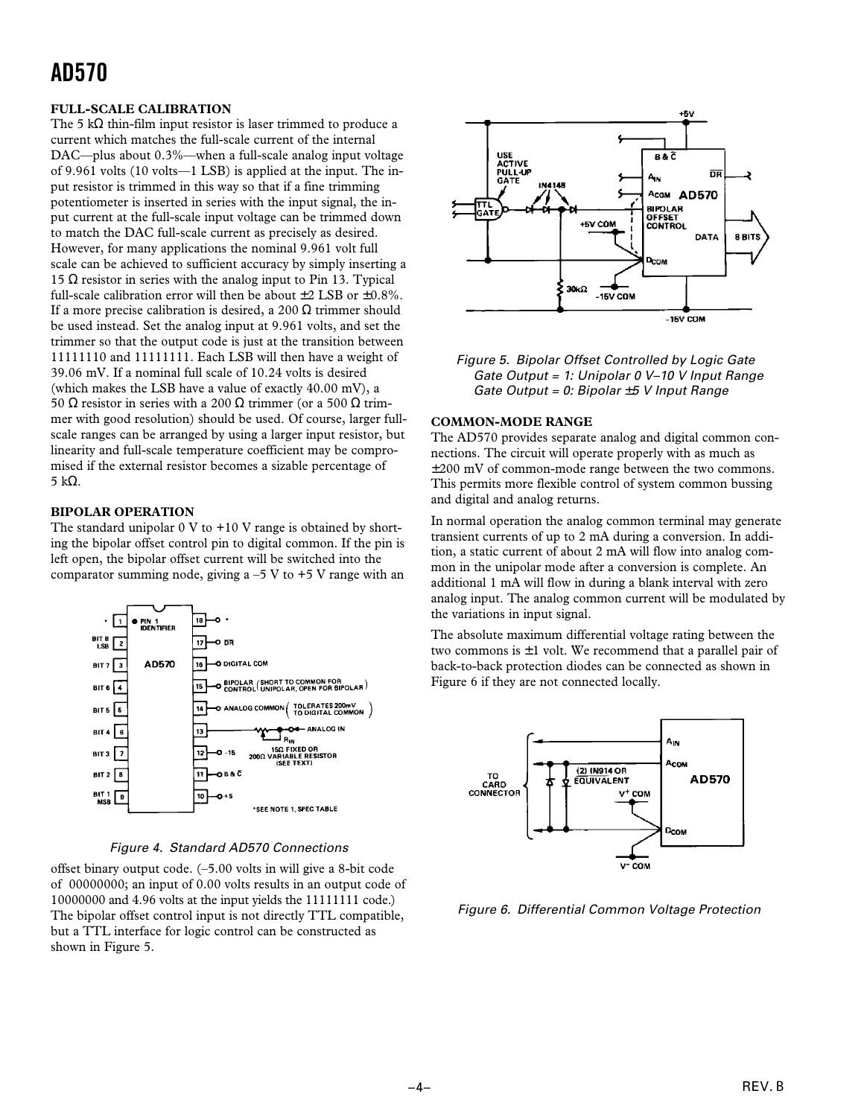### **FULL-SCALE CALIBRATION**

The 5 k $\Omega$  thin-film input resistor is laser trimmed to produce a current which matches the full-scale current of the internal DAC—plus about 0.3%—when a full-scale analog input voltage of 9.961 volts (10 volts—1 LSB) is applied at the input. The input resistor is trimmed in this way so that if a fine trimming potentiometer is inserted in series with the input signal, the input current at the full-scale input voltage can be trimmed down to match the DAC full-scale current as precisely as desired. However, for many applications the nominal 9.961 volt full scale can be achieved to sufficient accuracy by simply inserting a 15 Ω resistor in series with the analog input to Pin 13. Typical full-scale calibration error will then be about  $\pm 2$  LSB or  $\pm 0.8\%$ . If a more precise calibration is desired, a 200  $\Omega$  trimmer should be used instead. Set the analog input at 9.961 volts, and set the trimmer so that the output code is just at the transition between 11111110 and 11111111. Each LSB will then have a weight of 39.06 mV. If a nominal full scale of 10.24 volts is desired (which makes the LSB have a value of exactly 40.00 mV), a 50 Ω resistor in series with a 200 Ω trimmer (or a 500 Ω trimmer with good resolution) should be used. Of course, larger fullscale ranges can be arranged by using a larger input resistor, but linearity and full-scale temperature coefficient may be compromised if the external resistor becomes a sizable percentage of 5 kΩ.

### **BIPOLAR OPERATION**

The standard unipolar  $0 \nabla$  to  $+10 \nabla$  range is obtained by shorting the bipolar offset control pin to digital common. If the pin is left open, the bipolar offset current will be switched into the comparator summing node, giving  $a -5$  V to  $+5$  V range with an



Figure 4. Standard AD570 Connections

offset binary output code. (–5.00 volts in will give a 8-bit code of 00000000; an input of 0.00 volts results in an output code of 10000000 and 4.96 volts at the input yields the 11111111 code.) The bipolar offset control input is not directly TTL compatible, but a TTL interface for logic control can be constructed as shown in Figure 5.



Figure 5. Bipolar Offset Controlled by Logic Gate Gate Output = 1: Unipolar 0 V–10 V Input Range Gate Output = 0: Bipolar  $\pm 5$  V Input Range

### **COMMON-MODE RANGE**

The AD570 provides separate analog and digital common connections. The circuit will operate properly with as much as ±200 mV of common-mode range between the two commons. This permits more flexible control of system common bussing and digital and analog returns.

In normal operation the analog common terminal may generate transient currents of up to 2 mA during a conversion. In addition, a static current of about 2 mA will flow into analog common in the unipolar mode after a conversion is complete. An additional 1 mA will flow in during a blank interval with zero analog input. The analog common current will be modulated by the variations in input signal.

The absolute maximum differential voltage rating between the two commons is  $\pm 1$  volt. We recommend that a parallel pair of back-to-back protection diodes can be connected as shown in Figure 6 if they are not connected locally.



Figure 6. Differential Common Voltage Protection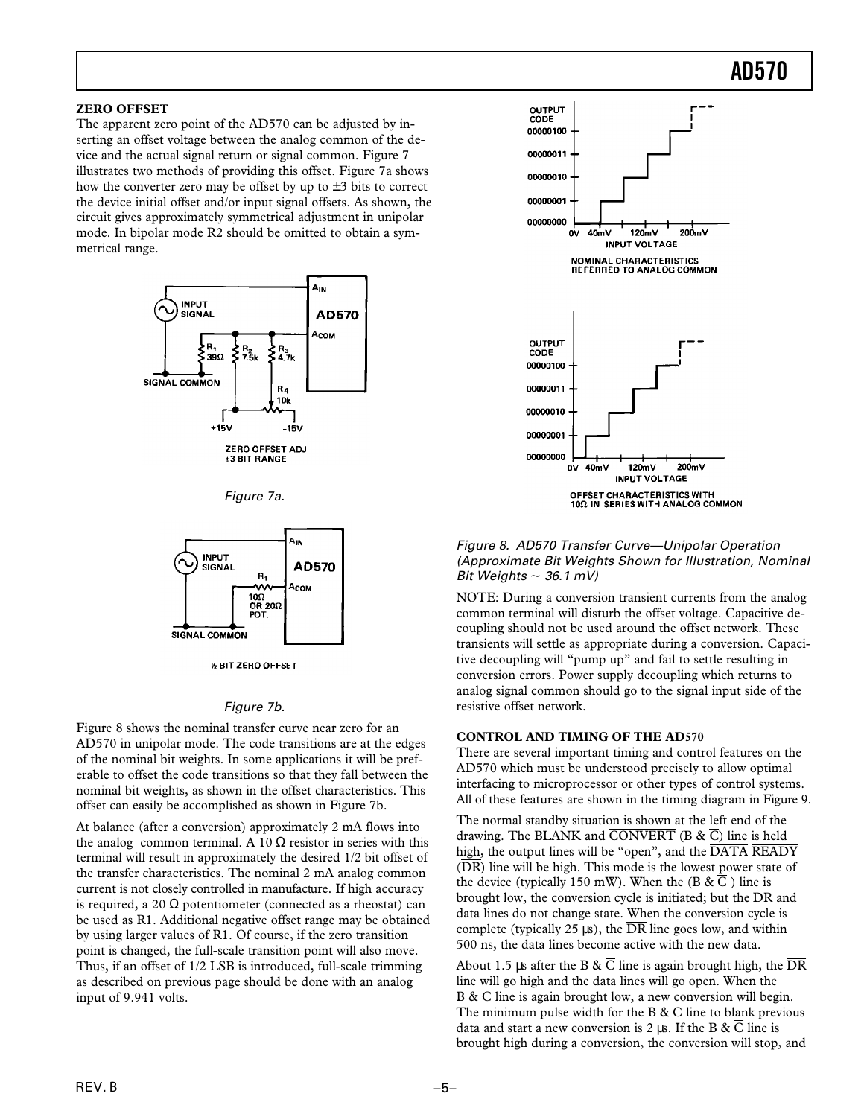### **ZERO OFFSET**

The apparent zero point of the AD570 can be adjusted by inserting an offset voltage between the analog common of the device and the actual signal return or signal common. Figure 7 illustrates two methods of providing this offset. Figure 7a shows how the converter zero may be offset by up to  $\pm 3$  bits to correct the device initial offset and/or input signal offsets. As shown, the circuit gives approximately symmetrical adjustment in unipolar mode. In bipolar mode R2 should be omitted to obtain a symmetrical range.







#### **% BIT ZERO OFFSET**

### Figure 7b.

Figure 8 shows the nominal transfer curve near zero for an AD570 in unipolar mode. The code transitions are at the edges of the nominal bit weights. In some applications it will be preferable to offset the code transitions so that they fall between the nominal bit weights, as shown in the offset characteristics. This offset can easily be accomplished as shown in Figure 7b.

At balance (after a conversion) approximately 2 mA flows into the analog common terminal. A 10  $\Omega$  resistor in series with this terminal will result in approximately the desired 1/2 bit offset of the transfer characteristics. The nominal 2 mA analog common current is not closely controlled in manufacture. If high accuracy is required, a 20  $\Omega$  potentiometer (connected as a rheostat) can be used as R1. Additional negative offset range may be obtained by using larger values of R1. Of course, if the zero transition point is changed, the full-scale transition point will also move. Thus, if an offset of 1/2 LSB is introduced, full-scale trimming as described on previous page should be done with an analog input of 9.941 volts.



Figure 8. AD570 Transfer Curve—Unipolar Operation (Approximate Bit Weights Shown for Illustration, Nominal Bit Weights  $\sim$  36.1 mV)

NOTE: During a conversion transient currents from the analog common terminal will disturb the offset voltage. Capacitive decoupling should not be used around the offset network. These transients will settle as appropriate during a conversion. Capacitive decoupling will "pump up" and fail to settle resulting in conversion errors. Power supply decoupling which returns to analog signal common should go to the signal input side of the resistive offset network.

#### **CONTROL AND TIMING OF THE AD570**

There are several important timing and control features on the AD570 which must be understood precisely to allow optimal interfacing to microprocessor or other types of control systems. All of these features are shown in the timing diagram in Figure 9.

The normal standby situation is shown at the left end of the drawing. The BLANK and  $\overline{CONVERT}$  (B &  $\overline{C}$ ) line is held high, the output lines will be "open", and the  $\overline{\text{DATA}$  READY  $(DR)$  line will be high. This mode is the lowest power state of the device (typically 150 mW). When the (B  $\& \overline{C}$ ) line is brought low, the conversion cycle is initiated; but the  $\overline{DR}$  and data lines do not change state. When the conversion cycle is complete (typically 25  $\mu$ s), the  $\overline{DR}$  line goes low, and within 500 ns, the data lines become active with the new data.

About 1.5 µs after the B &  $\overline{C}$  line is again brought high, the  $\overline{DR}$ line will go high and the data lines will go open. When the B & C line is again brought low, a new conversion will begin. The minimum pulse width for the B  $\& \overline{C}$  line to blank previous data and start a new conversion is 2 us. If the B &  $\overline{C}$  line is brought high during a conversion, the conversion will stop, and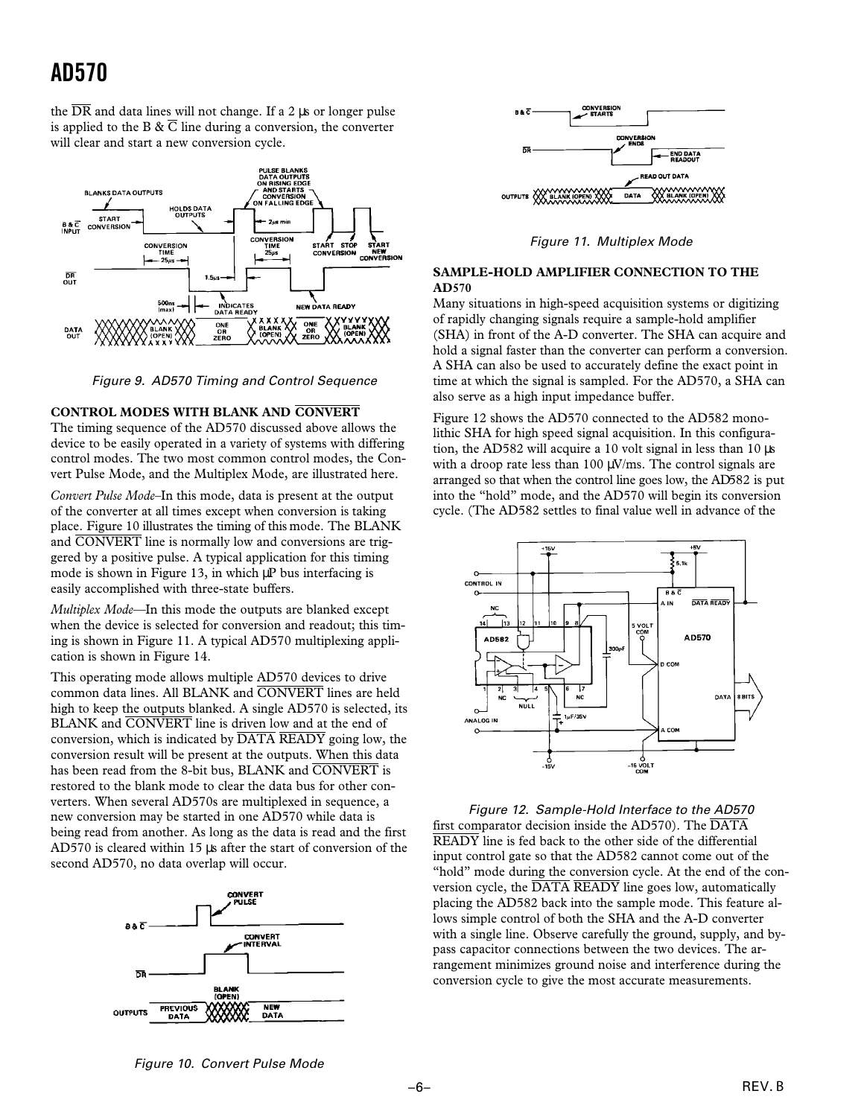the  $\overline{DR}$  and data lines will not change. If a 2 us or longer pulse is applied to the B  $\& \overline{C}$  line during a conversion, the converter will clear and start a new conversion cycle.



Figure 9. AD570 Timing and Control Sequence

#### **CONTROL MODES WITH BLANK AND CONVERT**

The timing sequence of the AD570 discussed above allows the device to be easily operated in a variety of systems with differing control modes. The two most common control modes, the Convert Pulse Mode, and the Multiplex Mode, are illustrated here.

*Convert Pulse Mode–*In this mode, data is present at the output of the converter at all times except when conversion is taking place. Figure 10 illustrates the timing of this mode. The BLANK and CONVERT line is normally low and conversions are triggered by a positive pulse. A typical application for this timing mode is shown in Figure 13, in which μP bus interfacing is easily accomplished with three-state buffers.

*Multiplex Mode—*In this mode the outputs are blanked except when the device is selected for conversion and readout; this timing is shown in Figure 11. A typical AD570 multiplexing application is shown in Figure 14.

This operating mode allows multiple AD570 devices to drive common data lines. All BLANK and CONVERT lines are held high to keep the outputs blanked. A single AD570 is selected, its BLANK and CONVERT line is driven low and at the end of conversion, which is indicated by  $\overline{DATA}$   $\overline{READY}$  going low, the conversion result will be present at the outputs. When this data has been read from the 8-bit bus, BLANK and CONVERT is restored to the blank mode to clear the data bus for other converters. When several AD570s are multiplexed in sequence, a new conversion may be started in one AD570 while data is being read from another. As long as the data is read and the first AD570 is cleared within 15 µs after the start of conversion of the second AD570, no data overlap will occur.





Figure 11. Multiplex Mode

### **SAMPLE-HOLD AMPLIFIER CONNECTION TO THE AD570**

Many situations in high-speed acquisition systems or digitizing of rapidly changing signals require a sample-hold amplifier (SHA) in front of the A-D converter. The SHA can acquire and hold a signal faster than the converter can perform a conversion. A SHA can also be used to accurately define the exact point in time at which the signal is sampled. For the AD570, a SHA can also serve as a high input impedance buffer.

Figure 12 shows the AD570 connected to the AD582 monolithic SHA for high speed signal acquisition. In this configuration, the AD582 will acquire a 10 volt signal in less than 10 µs with a droop rate less than  $100 \mu\text{V/ms}$ . The control signals are arranged so that when the control line goes low, the AD582 is put into the "hold" mode, and the AD570 will begin its conversion cycle. (The AD582 settles to final value well in advance of the



Figure 12. Sample-Hold Interface to the AD570 first comparator decision inside the  $AD570$ ). The  $\overline{DATA}$ READY line is fed back to the other side of the differential input control gate so that the AD582 cannot come out of the "hold" mode during the conversion cycle. At the end of the conversion cycle, the DATA READY line goes low, automatically placing the AD582 back into the sample mode. This feature allows simple control of both the SHA and the A-D converter with a single line. Observe carefully the ground, supply, and bypass capacitor connections between the two devices. The arrangement minimizes ground noise and interference during the conversion cycle to give the most accurate measurements.

Figure 10. Convert Pulse Mode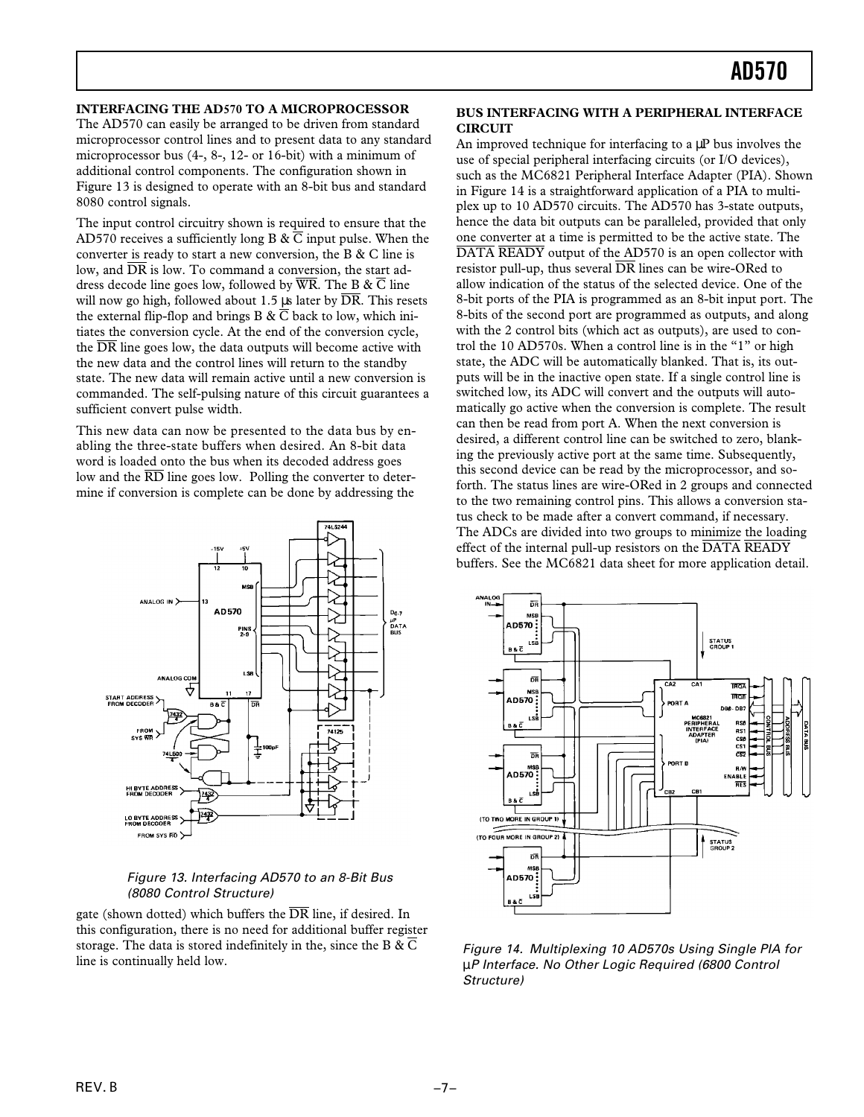### **INTERFACING THE AD570 TO A MICROPROCESSOR**

The AD570 can easily be arranged to be driven from standard microprocessor control lines and to present data to any standard microprocessor bus (4-, 8-, 12- or 16-bit) with a minimum of additional control components. The configuration shown in Figure 13 is designed to operate with an 8-bit bus and standard 8080 control signals.

The input control circuitry shown is required to ensure that the AD570 receives a sufficiently long B &  $\overline{C}$  input pulse. When the converter is ready to start a new conversion, the B & C line is low, and  $\overline{DR}$  is low. To command a conversion, the start address decode line goes low, followed by  $\overline{WR}$ . The B &  $\overline{C}$  line will now go high, followed about 1.5  $\mu$ s later by  $\overline{DR}$ . This resets the external flip-flop and brings B  $\& \overline{C}$  back to low, which initiates the conversion cycle. At the end of the conversion cycle, the  $\overline{DR}$  line goes low, the data outputs will become active with the new data and the control lines will return to the standby state. The new data will remain active until a new conversion is commanded. The self-pulsing nature of this circuit guarantees a sufficient convert pulse width.

This new data can now be presented to the data bus by enabling the three-state buffers when desired. An 8-bit data word is loaded onto the bus when its decoded address goes low and the  $\overline{RD}$  line goes low. Polling the converter to determine if conversion is complete can be done by addressing the



### Figure 13. Interfacing AD570 to an 8-Bit Bus (8080 Control Structure)

gate (shown dotted) which buffers the  $\overline{DR}$  line, if desired. In this configuration, there is no need for additional buffer register storage. The data is stored indefinitely in the, since the B &  $\overline{C}$ line is continually held low.

### **BUS INTERFACING WITH A PERIPHERAL INTERFACE CIRCUIT**

An improved technique for interfacing to a  $\mu$ P bus involves the use of special peripheral interfacing circuits (or I/O devices), such as the MC6821 Peripheral Interface Adapter (PIA). Shown in Figure 14 is a straightforward application of a PIA to multiplex up to 10 AD570 circuits. The AD570 has 3-state outputs, hence the data bit outputs can be paralleled, provided that only one converter at a time is permitted to be the active state. The DATA READY output of the AD570 is an open collector with resistor pull-up, thus several  $\overline{DR}$  lines can be wire-ORed to allow indication of the status of the selected device. One of the 8-bit ports of the PIA is programmed as an 8-bit input port. The 8-bits of the second port are programmed as outputs, and along with the 2 control bits (which act as outputs), are used to control the 10 AD570s. When a control line is in the "1" or high state, the ADC will be automatically blanked. That is, its outputs will be in the inactive open state. If a single control line is switched low, its ADC will convert and the outputs will automatically go active when the conversion is complete. The result can then be read from port A. When the next conversion is desired, a different control line can be switched to zero, blanking the previously active port at the same time. Subsequently, this second device can be read by the microprocessor, and soforth. The status lines are wire-ORed in 2 groups and connected to the two remaining control pins. This allows a conversion status check to be made after a convert command, if necessary. The ADCs are divided into two groups to minimize the loading effect of the internal pull-up resistors on the  $\overline{DATA}$   $\overline{READY}$ buffers. See the MC6821 data sheet for more application detail.



Figure 14. Multiplexing 10 AD570s Using Single PIA for µP Interface. No Other Logic Required (6800 Control Structure)